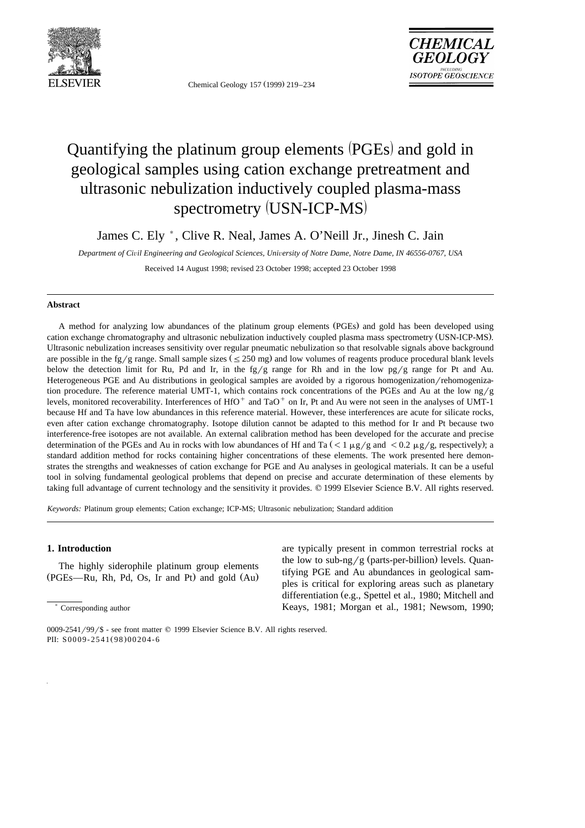

Chemical Geology 157 (1999) 219-234



# Quantifying the platinum group elements (PGEs) and gold in geological samples using cation exchange pretreatment and ultrasonic nebulization inductively coupled plasma-mass spectrometry (USN-ICP-MS)

James C. Ely  $^*$ , Clive R. Neal, James A. O'Neill Jr., Jinesh C. Jain

*Department of Ci*Õ*il Engineering and Geological Sciences, Uni*Õ*ersity of Notre Dame, Notre Dame, IN 46556-0767, USA*

Received 14 August 1998; revised 23 October 1998; accepted 23 October 1998

### **Abstract**

A method for analyzing low abundances of the platinum group elements (PGEs) and gold has been developed using cation exchange chromatography and ultrasonic nebulization inductively coupled plasma mass spectrometry (USN-ICP-MS). Ultrasonic nebulization increases sensitivity over regular pneumatic nebulization so that resolvable signals above background are possible in the fg/g range. Small sample sizes  $(\leq 250 \text{ mg})$  and low volumes of reagents produce procedural blank levels below the detection limit for Ru, Pd and Ir, in the fg/g range for Rh and in the low pg/g range for Pt and Au. Heterogeneous PGE and Au distributions in geological samples are avoided by a rigorous homogenization/rehomogenization procedure. The reference material UMT-1, which contains rock concentrations of the PGEs and Au at the low  $\frac{ng}{g}$ levels, monitored recoverability. Interferences of HfO $^+$  and TaO $^+$  on Ir, Pt and Au were not seen in the analyses of UMT-1 because Hf and Ta have low abundances in this reference material. However, these interferences are acute for silicate rocks, even after cation exchange chromatography. Isotope dilution cannot be adapted to this method for Ir and Pt because two interference-free isotopes are not available. An external calibration method has been developed for the accurate and precise determination of the PGEs and Au in rocks with low abundances of Hf and Ta  $(< 1 \mu g/g$  and  $< 0.2 \mu g/g$ , respectively); a standard addition method for rocks containing higher concentrations of these elements. The work presented here demonstrates the strengths and weaknesses of cation exchange for PGE and Au analyses in geological materials. It can be a useful tool in solving fundamental geological problems that depend on precise and accurate determination of these elements by taking full advantage of current technology and the sensitivity it provides. © 1999 Elsevier Science B.V. All rights reserved.

*Keywords:* Platinum group elements; Cation exchange; ICP-MS; Ultrasonic nebulization; Standard addition

# **1. Introduction**

The highly siderophile platinum group elements  $(PGEs$ —Ru, Rh, Pd, Os, Ir and Pt) and gold  $(Au)$ 

) Corresponding author

are typically present in common terrestrial rocks at the low to sub-ng/g (parts-per-billion) levels. Quantifying PGE and Au abundances in geological samples is critical for exploring areas such as planetary differentiation (e.g., Spettel et al., 1980; Mitchell and Keays, 1981; Morgan et al., 1981; Newsom, 1990;

<sup>0009-2541/99/\$ -</sup> see front matter  $\odot$  1999 Elsevier Science B.V. All rights reserved. PII: S0009-2541(98)00204-6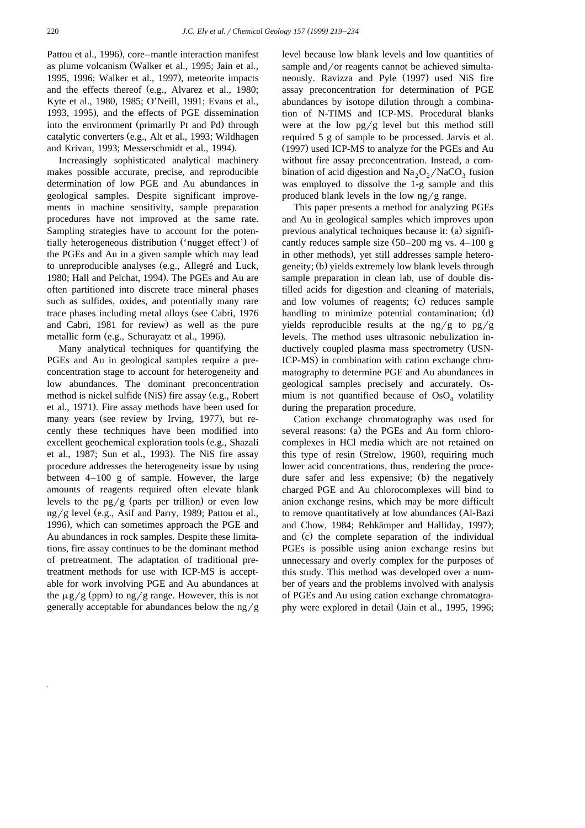Pattou et al., 1996), core–mantle interaction manifest as plume volcanism (Walker et al., 1995; Jain et al., 1995, 1996; Walker et al., 1997), meteorite impacts and the effects thereof (e.g., Alvarez et al., 1980; Kyte et al., 1980, 1985; O'Neill, 1991; Evans et al., 1993, 1995), and the effects of PGE dissemination into the environment (primarily Pt and Pd) through catalytic converters (e.g., Alt et al., 1993; Wildhagen and Krivan, 1993; Messerschmidt et al., 1994).

Increasingly sophisticated analytical machinery makes possible accurate, precise, and reproducible determination of low PGE and Au abundances in geological samples. Despite significant improvements in machine sensitivity, sample preparation procedures have not improved at the same rate. Sampling strategies have to account for the potentially heterogeneous distribution ('nugget effect') of the PGEs and Au in a given sample which may lead to unreproducible analyses (e.g., Allegré and Luck, 1980; Hall and Pelchat, 1994). The PGEs and Au are often partitioned into discrete trace mineral phases such as sulfides, oxides, and potentially many rare trace phases including metal alloys (see Cabri, 1976 and Cabri, 1981 for review) as well as the pure metallic form (e.g., Schurayatz et al., 1996).

Many analytical techniques for quantifying the PGEs and Au in geological samples require a preconcentration stage to account for heterogeneity and low abundances. The dominant preconcentration method is nickel sulfide (NiS) fire assay (e.g., Robert et al., 1971). Fire assay methods have been used for many years (see review by Irving, 1977), but recently these techniques have been modified into excellent geochemical exploration tools (e.g., Shazali et al., 1987; Sun et al., 1993). The NiS fire assay procedure addresses the heterogeneity issue by using between 4–100 g of sample. However, the large amounts of reagents required often elevate blank levels to the  $pg/g$  (parts per trillion) or even low ng/g level (e.g., Asif and Parry, 1989; Pattou et al., 1996), which can sometimes approach the PGE and Au abundances in rock samples. Despite these limitations, fire assay continues to be the dominant method of pretreatment. The adaptation of traditional pretreatment methods for use with ICP-MS is acceptable for work involving PGE and Au abundances at the  $\mu$ g/g (ppm) to ng/g range. However, this is not generally acceptable for abundances below the  $ng/g$ 

level because low blank levels and low quantities of sample and/or reagents cannot be achieved simultaneously. Ravizza and Pyle (1997) used NiS fire assay preconcentration for determination of PGE abundances by isotope dilution through a combination of N-TIMS and ICP-MS. Procedural blanks were at the low  $pg/g$  level but this method still required 5 g of sample to be processed. Jarvis et al. (1997) used ICP-MS to analyze for the PGEs and Au without fire assay preconcentration. Instead, a combination of acid digestion and  $\text{Na}_2\text{O}_2/\text{NaCO}_3$  fusion was employed to dissolve the 1-g sample and this produced blank levels in the low  $ng/g$  range.

This paper presents a method for analyzing PGEs and Au in geological samples which improves upon previous analytical techniques because it: (a) significantly reduces sample size  $(50-200 \text{ mg vs. } 4-100 \text{ g})$ in other methods), yet still addresses sample heterogeneity; (b) yields extremely low blank levels through sample preparation in clean lab, use of double distilled acids for digestion and cleaning of materials, and low volumes of reagents; (c) reduces sample handling to minimize potential contamination; (d) yields reproducible results at the ng/g to  $pg/g$ levels. The method uses ultrasonic nebulization inductively coupled plasma mass spectrometry (USN-ICP-MS) in combination with cation exchange chromatography to determine PGE and Au abundances in geological samples precisely and accurately. Osmium is not quantified because of  $OsO<sub>4</sub>$  volatility during the preparation procedure.

Cation exchange chromatography was used for several reasons: (a) the PGEs and Au form chlorocomplexes in HCl media which are not retained on this type of resin (Strelow, 1960), requiring much lower acid concentrations, thus, rendering the procedure safer and less expensive; (b) the negatively charged PGE and Au chlorocomplexes will bind to anion exchange resins, which may be more difficult to remove quantitatively at low abundances (Al-Bazi and Chow, 1984; Rehkämper and Halliday, 1997); and (c) the complete separation of the individual PGEs is possible using anion exchange resins but unnecessary and overly complex for the purposes of this study. This method was developed over a number of years and the problems involved with analysis of PGEs and Au using cation exchange chromatography were explored in detail (Jain et al., 1995, 1996;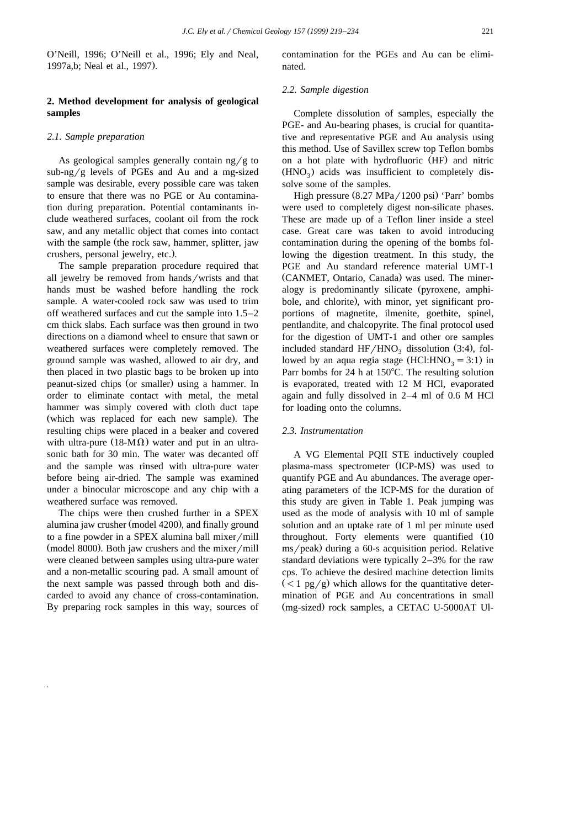O'Neill, 1996; O'Neill et al., 1996; Ely and Neal, 1997a,b; Neal et al., 1997).

# **2. Method development for analysis of geological samples**

### *2.1. Sample preparation*

As geological samples generally contain  $ng/g$  to sub-ng/g levels of PGEs and Au and a mg-sized sample was desirable, every possible care was taken to ensure that there was no PGE or Au contamination during preparation. Potential contaminants include weathered surfaces, coolant oil from the rock saw, and any metallic object that comes into contact with the sample (the rock saw, hammer, splitter, jaw crushers, personal jewelry, etc.).

The sample preparation procedure required that all jewelry be removed from hands/wrists and that hands must be washed before handling the rock sample. A water-cooled rock saw was used to trim off weathered surfaces and cut the sample into 1.5–2 cm thick slabs. Each surface was then ground in two directions on a diamond wheel to ensure that sawn or weathered surfaces were completely removed. The ground sample was washed, allowed to air dry, and then placed in two plastic bags to be broken up into peanut-sized chips (or smaller) using a hammer. In order to eliminate contact with metal, the metal hammer was simply covered with cloth duct tape (which was replaced for each new sample). The resulting chips were placed in a beaker and covered with ultra-pure (18-M $\Omega$ ) water and put in an ultrasonic bath for 30 min. The water was decanted off and the sample was rinsed with ultra-pure water before being air-dried. The sample was examined under a binocular microscope and any chip with a weathered surface was removed.

The chips were then crushed further in a SPEX alumina jaw crusher (model 4200), and finally ground to a fine powder in a SPEX alumina ball mixer/mill  $(model 8000)$ . Both jaw crushers and the mixer/mill were cleaned between samples using ultra-pure water and a non-metallic scouring pad. A small amount of the next sample was passed through both and discarded to avoid any chance of cross-contamination. By preparing rock samples in this way, sources of contamination for the PGEs and Au can be eliminated.

# *2.2. Sample digestion*

Complete dissolution of samples, especially the PGE- and Au-bearing phases, is crucial for quantitative and representative PGE and Au analysis using this method. Use of Savillex screw top Teflon bombs on a hot plate with hydrofluoric (HF) and nitric  $(HNO<sub>2</sub>)$  acids was insufficient to completely dissolve some of the samples.

High pressure  $(8.27 \text{ MPa}/1200 \text{ psi})$  'Parr' bombs were used to completely digest non-silicate phases. These are made up of a Teflon liner inside a steel case. Great care was taken to avoid introducing contamination during the opening of the bombs following the digestion treatment. In this study, the PGE and Au standard reference material UMT-1 (CANMET, Ontario, Canada) was used. The mineralogy is predominantly silicate (pyroxene, amphibole, and chlorite), with minor, yet significant proportions of magnetite, ilmenite, goethite, spinel, pentlandite, and chalcopyrite. The final protocol used for the digestion of UMT-1 and other ore samples included standard  $HF/HNO<sub>3</sub>$  dissolution (3:4), followed by an aqua regia stage (HCl:HNO<sub>3</sub> = 3:1) in Parr bombs for 24 h at  $150^{\circ}$ C. The resulting solution is evaporated, treated with 12 M HCl, evaporated again and fully dissolved in 2–4 ml of 0.6 M HCl for loading onto the columns.

#### *2.3. Instrumentation*

A VG Elemental PQII STE inductively coupled plasma-mass spectrometer (ICP-MS) was used to quantify PGE and Au abundances. The average operating parameters of the ICP-MS for the duration of this study are given in Table 1. Peak jumping was used as the mode of analysis with 10 ml of sample solution and an uptake rate of 1 ml per minute used throughout. Forty elements were quantified (10  $\text{ms/peak}$ ) during a 60-s acquisition period. Relative standard deviations were typically 2–3% for the raw cps. To achieve the desired machine detection limits  $(< 1 \text{ pg/g})$  which allows for the quantitative determination of PGE and Au concentrations in small (mg-sized) rock samples, a CETAC U-5000AT Ul-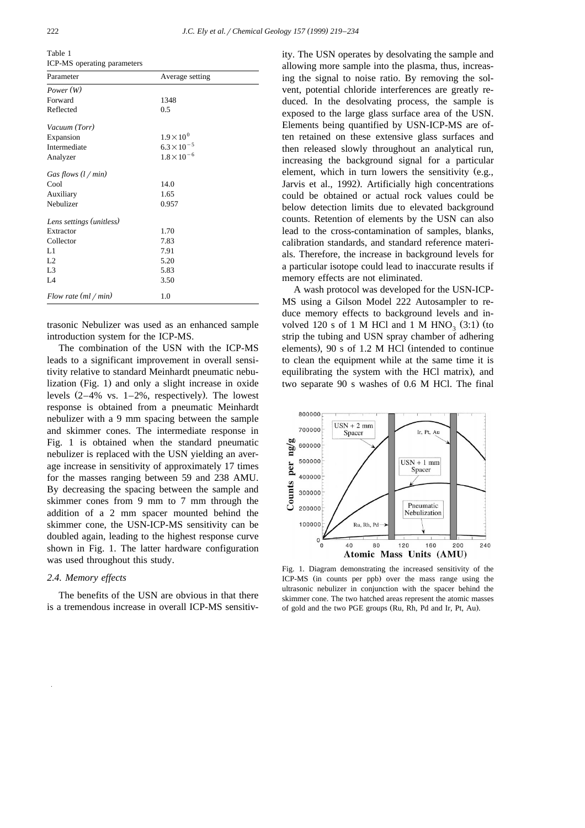Table 1 ICP-MS operating parameters

| Parameter                | Average setting      |  |  |
|--------------------------|----------------------|--|--|
| Power(W)                 |                      |  |  |
| Forward                  | 1348                 |  |  |
| Reflected                | 0.5                  |  |  |
| Vacuum (Torr)            |                      |  |  |
| Expansion                | $1.9 \times 10^{0}$  |  |  |
| Intermediate             | $6.3 \times 10^{-5}$ |  |  |
| Analyzer                 | $1.8 \times 10^{-6}$ |  |  |
| Gas flows $(l / min)$    |                      |  |  |
| Cool                     | 14.0                 |  |  |
| Auxiliary                | 1.65                 |  |  |
| Nebulizer                | 0.957                |  |  |
| Lens settings (unitless) |                      |  |  |
| Extractor                | 1.70                 |  |  |
| Collector                | 7.83                 |  |  |
| L1                       | 7.91                 |  |  |
| L2                       | 5.20                 |  |  |
| L <sub>3</sub>           | 5.83                 |  |  |
| IA                       | 3.50                 |  |  |
| Flow rate $(ml / min)$   | 1.0                  |  |  |

trasonic Nebulizer was used as an enhanced sample introduction system for the ICP-MS.

The combination of the USN with the ICP-MS leads to a significant improvement in overall sensitivity relative to standard Meinhardt pneumatic nebulization (Fig. 1) and only a slight increase in oxide levels  $(2-4\% \text{ vs. } 1-2\% \text{, respectively})$ . The lowest response is obtained from a pneumatic Meinhardt nebulizer with a 9 mm spacing between the sample and skimmer cones. The intermediate response in Fig. 1 is obtained when the standard pneumatic nebulizer is replaced with the USN yielding an average increase in sensitivity of approximately 17 times for the masses ranging between 59 and 238 AMU. By decreasing the spacing between the sample and skimmer cones from 9 mm to 7 mm through the addition of a 2 mm spacer mounted behind the skimmer cone, the USN-ICP-MS sensitivity can be doubled again, leading to the highest response curve shown in Fig. 1. The latter hardware configuration was used throughout this study.

# *2.4. Memory effects*

The benefits of the USN are obvious in that there is a tremendous increase in overall ICP-MS sensitivity. The USN operates by desolvating the sample and allowing more sample into the plasma, thus, increasing the signal to noise ratio. By removing the solvent, potential chloride interferences are greatly reduced. In the desolvating process, the sample is exposed to the large glass surface area of the USN. Elements being quantified by USN-ICP-MS are often retained on these extensive glass surfaces and then released slowly throughout an analytical run, increasing the background signal for a particular element, which in turn lowers the sensitivity (e.g., Jarvis et al., 1992). Artificially high concentrations could be obtained or actual rock values could be below detection limits due to elevated background counts. Retention of elements by the USN can also lead to the cross-contamination of samples, blanks, calibration standards, and standard reference materials. Therefore, the increase in background levels for a particular isotope could lead to inaccurate results if memory effects are not eliminated.

A wash protocol was developed for the USN-ICP-MS using a Gilson Model 222 Autosampler to reduce memory effects to background levels and involved 120 s of 1 M HCl and 1 M HNO<sub>3</sub>  $(3:1)$  (to strip the tubing and USN spray chamber of adhering elements),  $90 s$  of 1.2 M HCl (intended to continue to clean the equipment while at the same time it is equilibrating the system with the HCl matrix), and two separate 90 s washes of 0.6 M HCl. The final



Fig. 1. Diagram demonstrating the increased sensitivity of the ICP-MS (in counts per ppb) over the mass range using the ultrasonic nebulizer in conjunction with the spacer behind the skimmer cone. The two hatched areas represent the atomic masses of gold and the two PGE groups (Ru, Rh, Pd and Ir, Pt, Au).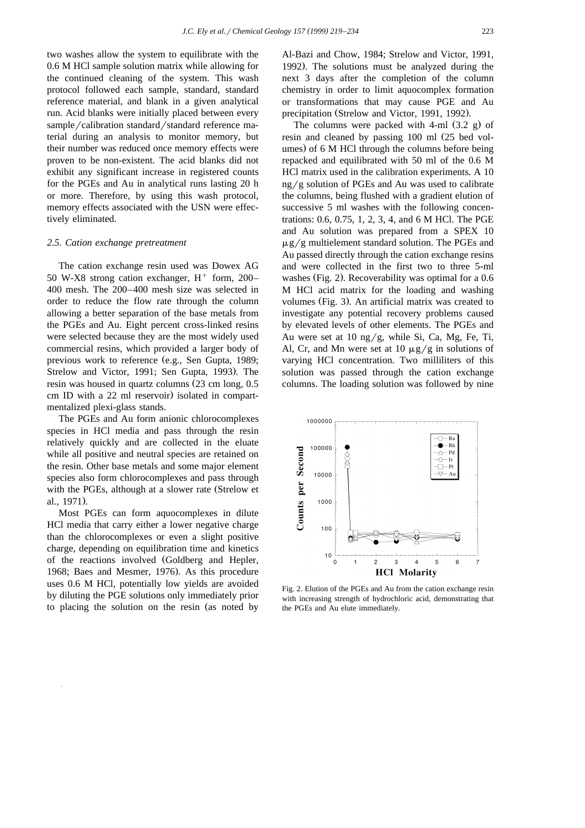two washes allow the system to equilibrate with the 0.6 M HCl sample solution matrix while allowing for the continued cleaning of the system. This wash protocol followed each sample, standard, standard reference material, and blank in a given analytical run. Acid blanks were initially placed between every sample/calibration standard/standard reference material during an analysis to monitor memory, but their number was reduced once memory effects were proven to be non-existent. The acid blanks did not exhibit any significant increase in registered counts for the PGEs and Au in analytical runs lasting 20 h or more. Therefore, by using this wash protocol, memory effects associated with the USN were effectively eliminated.

## *2.5. Cation exchange pretreatment*

The cation exchange resin used was Dowex AG 50 W-X8 strong cation exchanger,  $H^+$  form, 200– 400 mesh. The 200–400 mesh size was selected in order to reduce the flow rate through the column allowing a better separation of the base metals from the PGEs and Au. Eight percent cross-linked resins were selected because they are the most widely used commercial resins, which provided a larger body of previous work to reference (e.g., Sen Gupta, 1989; Strelow and Victor, 1991; Sen Gupta, 1993). The resin was housed in quartz columns  $(23 \text{ cm long}, 0.5)$ cm ID with a 22 ml reservoir) isolated in compartmentalized plexi-glass stands.

The PGEs and Au form anionic chlorocomplexes species in HCl media and pass through the resin relatively quickly and are collected in the eluate while all positive and neutral species are retained on the resin. Other base metals and some major element species also form chlorocomplexes and pass through with the PGEs, although at a slower rate (Strelow et al., 1971).

Most PGEs can form aquocomplexes in dilute HCl media that carry either a lower negative charge than the chlorocomplexes or even a slight positive charge, depending on equilibration time and kinetics of the reactions involved (Goldberg and Hepler, 1968; Baes and Mesmer, 1976). As this procedure uses 0.6 M HCl, potentially low yields are avoided by diluting the PGE solutions only immediately prior to placing the solution on the resin (as noted by Al-Bazi and Chow, 1984; Strelow and Victor, 1991, 1992). The solutions must be analyzed during the next 3 days after the completion of the column chemistry in order to limit aquocomplex formation or transformations that may cause PGE and Au precipitation (Strelow and Victor, 1991, 1992).

The columns were packed with 4-ml  $(3.2 \text{ g})$  of resin and cleaned by passing 100 ml (25 bed volumes) of 6 M HCl through the columns before being repacked and equilibrated with 50 ml of the 0.6 M HCl matrix used in the calibration experiments. A 10  $ng/g$  solution of PGEs and Au was used to calibrate the columns, being flushed with a gradient elution of successive 5 ml washes with the following concentrations: 0.6, 0.75, 1, 2, 3, 4, and 6 M HCl. The PGE and Au solution was prepared from a SPEX 10  $\mu$ g/g multielement standard solution. The PGEs and Au passed directly through the cation exchange resins and were collected in the first two to three 5-ml washes (Fig. 2). Recoverability was optimal for a  $0.6$ M HCl acid matrix for the loading and washing volumes (Fig. 3). An artificial matrix was created to investigate any potential recovery problems caused by elevated levels of other elements. The PGEs and Au were set at 10 ng/g, while Si, Ca, Mg, Fe, Ti, Al, Cr, and Mn were set at 10  $\mu$ g/g in solutions of varying HCl concentration. Two milliliters of this solution was passed through the cation exchange columns. The loading solution was followed by nine



Fig. 2. Elution of the PGEs and Au from the cation exchange resin with increasing strength of hydrochloric acid, demonstrating that the PGEs and Au elute immediately.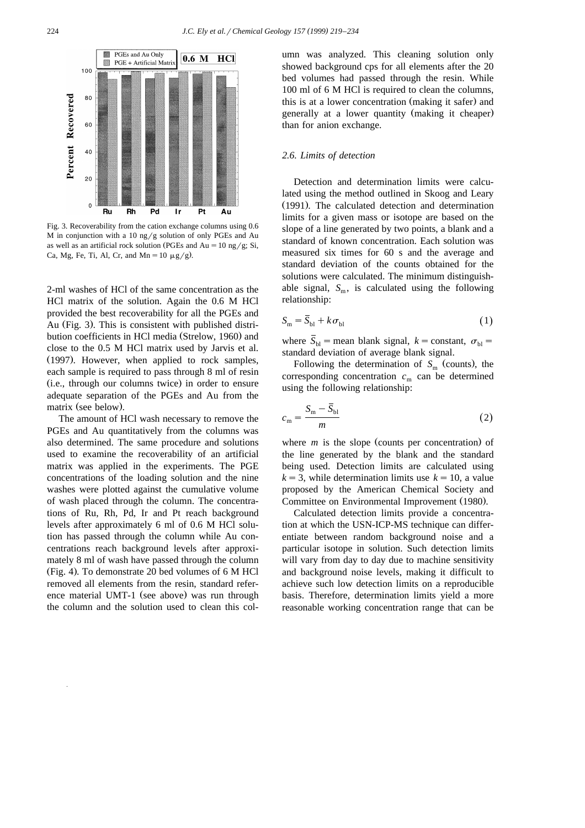

Fig. 3. Recoverability from the cation exchange columns using 0.6 M in conjunction with a 10 ng/g solution of only PGEs and Au as well as an artificial rock solution (PGEs and Au =  $10 \text{ ng/g}$ ; Si, Ca, Mg, Fe, Ti, Al, Cr, and Mn =  $10 \mu g/g$ ).

2-ml washes of HCl of the same concentration as the HCl matrix of the solution. Again the 0.6 M HCl provided the best recoverability for all the PGEs and Au (Fig. 3). This is consistent with published distribution coefficients in HCl media (Strelow, 1960) and close to the 0.5 M HCl matrix used by Jarvis et al.  $(1997)$ . However, when applied to rock samples, each sample is required to pass through 8 ml of resin (i.e., through our columns twice) in order to ensure adequate separation of the PGEs and Au from the matrix (see below).

The amount of HCl wash necessary to remove the PGEs and Au quantitatively from the columns was also determined. The same procedure and solutions used to examine the recoverability of an artificial matrix was applied in the experiments. The PGE concentrations of the loading solution and the nine washes were plotted against the cumulative volume of wash placed through the column. The concentrations of Ru, Rh, Pd, Ir and Pt reach background levels after approximately 6 ml of 0.6 M HCl solution has passed through the column while Au concentrations reach background levels after approximately 8 ml of wash have passed through the column  $(Fig. 4)$ . To demonstrate 20 bed volumes of 6 M HCl removed all elements from the resin, standard reference material UMT-1 (see above) was run through the column and the solution used to clean this column was analyzed. This cleaning solution only showed background cps for all elements after the 20 bed volumes had passed through the resin. While 100 ml of 6 M HCl is required to clean the columns, this is at a lower concentration (making it safer) and generally at a lower quantity (making it cheaper) than for anion exchange.

# *2.6. Limits of detection*

Detection and determination limits were calculated using the method outlined in Skoog and Leary (1991). The calculated detection and determination limits for a given mass or isotope are based on the slope of a line generated by two points, a blank and a standard of known concentration. Each solution was measured six times for 60 s and the average and standard deviation of the counts obtained for the solutions were calculated. The minimum distinguishable signal,  $S_m$ , is calculated using the following relationship:

$$
S_{\rm m} = \overline{S}_{\rm bl} + k \sigma_{\rm bl} \tag{1}
$$

where  $S_{bl}$  = mean blank signal,  $k = constant$ ,  $\sigma_{bl}$  = standard deviation of average blank signal.

Following the determination of  $S<sub>m</sub>$  (counts), the corresponding concentration  $c_m$  can be determined using the following relationship:

$$
c_{\rm m} = \frac{S_{\rm m} - \bar{S}_{\rm bl}}{m} \tag{2}
$$

where  $m$  is the slope (counts per concentration) of the line generated by the blank and the standard being used. Detection limits are calculated using  $k = 3$ , while determination limits use  $k = 10$ , a value proposed by the American Chemical Society and Committee on Environmental Improvement (1980).

Calculated detection limits provide a concentration at which the USN-ICP-MS technique can differentiate between random background noise and a particular isotope in solution. Such detection limits will vary from day to day due to machine sensitivity and background noise levels, making it difficult to achieve such low detection limits on a reproducible basis. Therefore, determination limits yield a more reasonable working concentration range that can be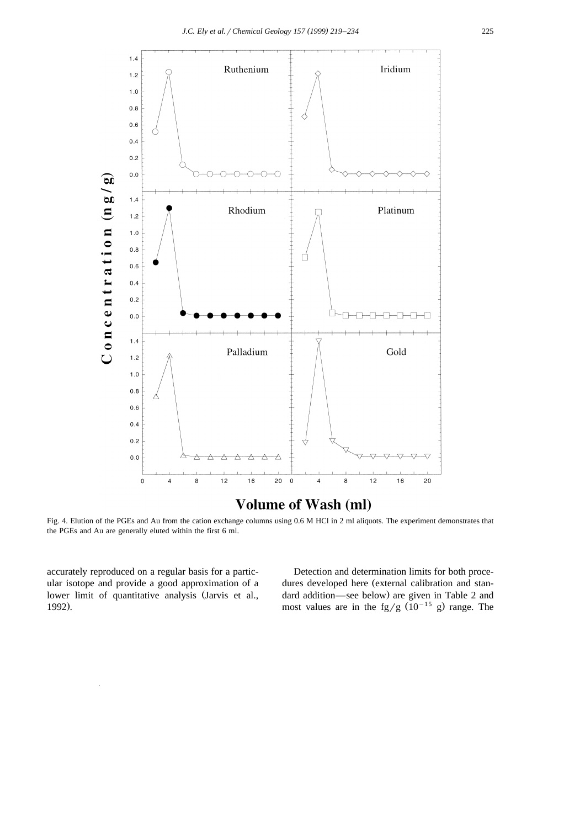

Fig. 4. Elution of the PGEs and Au from the cation exchange columns using 0.6 M HCl in 2 ml aliquots. The experiment demonstrates that the PGEs and Au are generally eluted within the first 6 ml.

accurately reproduced on a regular basis for a particular isotope and provide a good approximation of a lower limit of quantitative analysis (Jarvis et al., 1992).

Detection and determination limits for both procedures developed here (external calibration and standard addition—see below) are given in Table 2 and most values are in the fg/g  $(10^{-15} \text{ g})$  range. The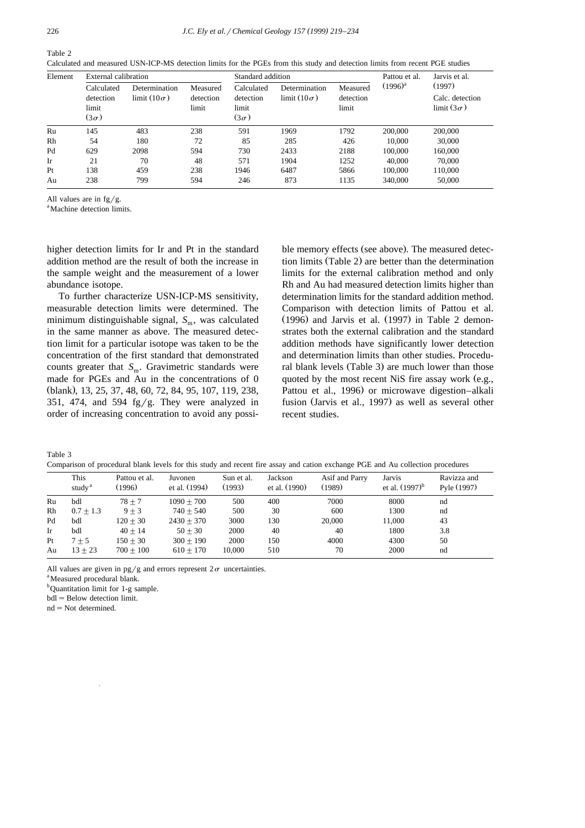Calculated and measured USN-ICP-MS detection limits for the PGEs from this study and detection limits from recent PGE studies

| Element | External calibration                            |                                         | Standard addition              |                                                 |                                         | Pattou et al.                  | Jarvis et al. |                                                |
|---------|-------------------------------------------------|-----------------------------------------|--------------------------------|-------------------------------------------------|-----------------------------------------|--------------------------------|---------------|------------------------------------------------|
|         | Calculated<br>detection<br>limit<br>$(3\sigma)$ | Determination<br>$\lim$ it $(10\sigma)$ | Measured<br>detection<br>limit | Calculated<br>detection<br>limit<br>$(3\sigma)$ | Determination<br>$\lim$ it $(10\sigma)$ | Measured<br>detection<br>limit | $(1996)^{a}$  | (1997)<br>Calc. detection<br>limit $(3\sigma)$ |
| Ru      | 145                                             | 483                                     | 238                            | 591                                             | 1969                                    | 1792                           | 200,000       | 200,000                                        |
| Rh      | 54                                              | 180                                     | 72                             | 85                                              | 285                                     | 426                            | 10,000        | 30,000                                         |
| Pd      | 629                                             | 2098                                    | 594                            | 730                                             | 2433                                    | 2188                           | 100,000       | 160,000                                        |
| Ir      | 21                                              | 70                                      | 48                             | 571                                             | 1904                                    | 1252                           | 40,000        | 70,000                                         |
| Pt      | 138                                             | 459                                     | 238                            | 1946                                            | 6487                                    | 5866                           | 100,000       | 110,000                                        |
| Au      | 238                                             | 799                                     | 594                            | 246                                             | 873                                     | 1135                           | 340,000       | 50,000                                         |

All values are in  $fg/g$ .

<sup>a</sup> Machine detection limits.

higher detection limits for Ir and Pt in the standard addition method are the result of both the increase in the sample weight and the measurement of a lower abundance isotope.

To further characterize USN-ICP-MS sensitivity, measurable detection limits were determined. The minimum distinguishable signal,  $S_m$ , was calculated in the same manner as above. The measured detection limit for a particular isotope was taken to be the concentration of the first standard that demonstrated counts greater that  $S_m$ . Gravimetric standards were made for PGEs and Au in the concentrations of 0 (blank), 13, 25, 37, 48, 60, 72, 84, 95, 107, 119, 238, 351, 474, and 594 fg/g. They were analyzed in order of increasing concentration to avoid any possi-

ble memory effects (see above). The measured detection limits (Table 2) are better than the determination limits for the external calibration method and only Rh and Au had measured detection limits higher than determination limits for the standard addition method. Comparison with detection limits of Pattou et al.  $(1996)$  and Jarvis et al.  $(1997)$  in Table 2 demonstrates both the external calibration and the standard addition methods have significantly lower detection and determination limits than other studies. Procedural blank levels (Table 3) are much lower than those quoted by the most recent NiS fire assay work  $(e.g.,)$ Pattou et al., 1996) or microwave digestion–alkali fusion (Jarvis et al., 1997) as well as several other recent studies.

Table 3

Comparison of procedural blank levels for this study and recent fire assay and cation exchange PGE and Au collection procedures

|    | This<br>study <sup>a</sup> | Pattou et al.<br>(1996) | Juvonen<br>et al. (1994) | Sun et al.<br>(1993) | Jackson<br>et al. (1990) | Asif and Parry<br>(1989) | Jarvis<br>et al. $(1997)^b$ | Ravizza and<br>Pyle (1997) |
|----|----------------------------|-------------------------|--------------------------|----------------------|--------------------------|--------------------------|-----------------------------|----------------------------|
| Ru | bdl                        | $78 + 7$                | $1090 + 700$             | 500                  | 400                      | 7000                     | 8000                        | nd                         |
| Rh | $0.7 + 1.3$                | $9 + 3$                 | $740 + 540$              | 500                  | 30                       | 600                      | 1300                        | nd                         |
| Pd | bdl                        | $120 + 30$              | $2430 + 370$             | 3000                 | 130                      | 20,000                   | 11.000                      | 43                         |
| Ir | bdl                        | $40 + 14$               | $50 + 30$                | 2000                 | 40                       | 40                       | 1800                        | 3.8                        |
| Pt | $7+5$                      | $150 + 30$              | $300 + 190$              | 2000                 | 150                      | 4000                     | 4300                        | 50                         |
| Au | $13 + 23$                  | $700 + 100$             | $610 + 170$              | 10,000               | 510                      | 70                       | 2000                        | nd                         |

All values are given in pg/g and errors represent  $2\sigma$  uncertainties.

<sup>a</sup>Measured procedural blank.

<sup>b</sup>Quantitation limit for 1-g sample.

 $bdl = Below detection limit.$ 

 $nd = Not determined$ .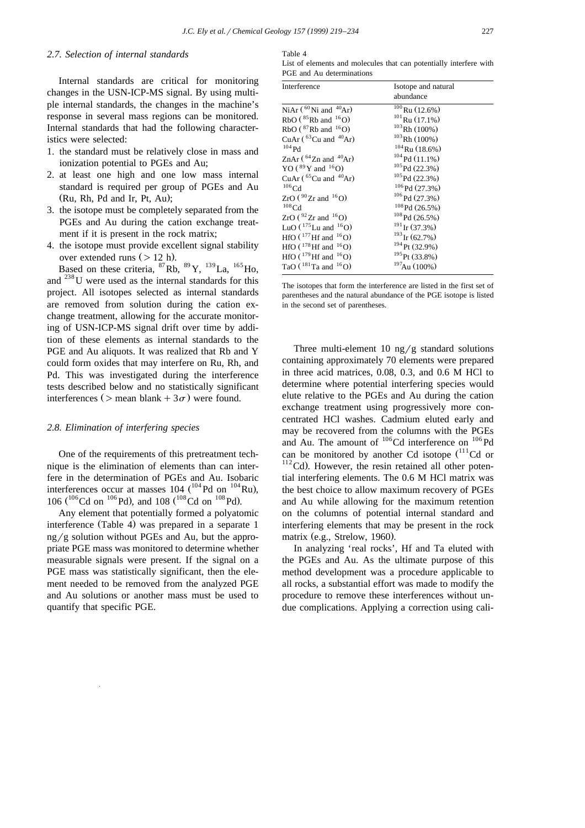# *2.7. Selection of internal standards*

Internal standards are critical for monitoring changes in the USN-ICP-MS signal. By using multiple internal standards, the changes in the machine's response in several mass regions can be monitored. Internal standards that had the following characteristics were selected:

- 1. the standard must be relatively close in mass and ionization potential to PGEs and Au;
- 2. at least one high and one low mass internal standard is required per group of PGEs and Au  $(Ru, Rh, Pd and Ir, Pt, Au);$
- 3. the isotope must be completely separated from the PGEs and Au during the cation exchange treatment if it is present in the rock matrix;
- 4. the isotope must provide excellent signal stability over extended runs  $($  > 12 h).

Based on these criteria,  ${}^{87}$ Rb,  ${}^{89}$ Y,  ${}^{139}$ La,  ${}^{165}$ Ho. and 238U were used as the internal standards for this project. All isotopes selected as internal standards are removed from solution during the cation exchange treatment, allowing for the accurate monitoring of USN-ICP-MS signal drift over time by addition of these elements as internal standards to the PGE and Au aliquots. It was realized that Rb and Y could form oxides that may interfere on Ru, Rh, and Pd. This was investigated during the interference tests described below and no statistically significant interferences ( $>$  mean blank + 3 $\sigma$ ) were found.

#### *2.8. Elimination of interfering species*

One of the requirements of this pretreatment technique is the elimination of elements than can interfere in the determination of PGEs and Au. Isobaric interferences occur at masses 104  $\binom{104}{104}$  con  $\binom{104}{104}$  Ru), 106 ( $^{106}$ Cd on  $^{106}$ Pd), and 108 ( $^{108}$ Cd on  $^{108}$ Pd).

Any element that potentially formed a polyatomic interference (Table 4) was prepared in a separate 1  $ng/g$  solution without PGEs and Au, but the appropriate PGE mass was monitored to determine whether measurable signals were present. If the signal on a PGE mass was statistically significant, then the element needed to be removed from the analyzed PGE and Au solutions or another mass must be used to quantify that specific PGE.

Table 4

List of elements and molecules that can potentially interfere with PGE and Au determinations

| Interference                         | Isotope and natural<br>abundance |
|--------------------------------------|----------------------------------|
| NiAr $(^{60}$ Ni and $^{40}$ Ar)     | $\sqrt[100]{R}$ Ru (12.6%)       |
| $RbO$ ( ${}^{85}Rb$ and ${}^{16}O$ ) | $101$ Ru (17.1%)                 |
| RbO $(^{87}$ Rb and $^{16}$ O)       | $103$ Rh (100%)                  |
| CuAr $(^{63}$ Cu and $^{40}$ Ar)     | $103$ Rh (100%)                  |
| $104$ Pd                             | $104$ Ru (18.6%)                 |
| ZnAr $(^{64}$ Zn and $^{40}$ Ar)     | $104$ Pd $(11.1\%)$              |
| YO ( ${}^{89}$ Y and ${}^{16}$ O)    | $105$ Pd (22.3%)                 |
| CuAr $(^{65}$ Cu and $^{40}$ Ar)     | $105$ Pd (22.3%)                 |
| $106$ Cd                             | $106$ Pd $(27.3%)$               |
| $ZrO(^{90}Zr$ and $^{16}O$           | $106$ Pd (27.3%)                 |
| $108$ Cd                             | $108$ Pd (26.5%)                 |
| ZrO ( $92$ Zr and $16$ O)            | $108$ Pd (26.5%)                 |
| LuO $(^{175}$ Lu and $^{16}$ O)      | $191$ Ir (37.3%)                 |
| HfO $(^{177}Hf$ and $^{16}O$ )       | $193$ Ir (62.7%)                 |
| HfO $(^{178}$ Hf and $^{16}$ O)      | $194$ Pt (32.9%)                 |
| HfO $(^{179}$ Hf and $^{16}$ O)      | $195$ Pt. (33.8%)                |
| TaO ( $^{181}$ Ta and $^{16}$ O)     | $197$ Au (100%)                  |

The isotopes that form the interference are listed in the first set of parentheses and the natural abundance of the PGE isotope is listed in the second set of parentheses.

Three multi-element 10 ng/g standard solutions containing approximately 70 elements were prepared in three acid matrices, 0.08, 0.3, and 0.6 M HCl to determine where potential interfering species would elute relative to the PGEs and Au during the cation exchange treatment using progressively more concentrated HCl washes. Cadmium eluted early and may be recovered from the columns with the PGEs and Au. The amount of  $106$ Cd interference on  $106$ Pd can be monitored by another Cd isotope  $(^{111}Cd$  or  $112^{\circ}$ Cd). However, the resin retained all other potential interfering elements. The 0.6 M HCl matrix was the best choice to allow maximum recovery of PGEs and Au while allowing for the maximum retention on the columns of potential internal standard and interfering elements that may be present in the rock matrix (e.g., Strelow, 1960).

In analyzing 'real rocks', Hf and Ta eluted with the PGEs and Au. As the ultimate purpose of this method development was a procedure applicable to all rocks, a substantial effort was made to modify the procedure to remove these interferences without undue complications. Applying a correction using cali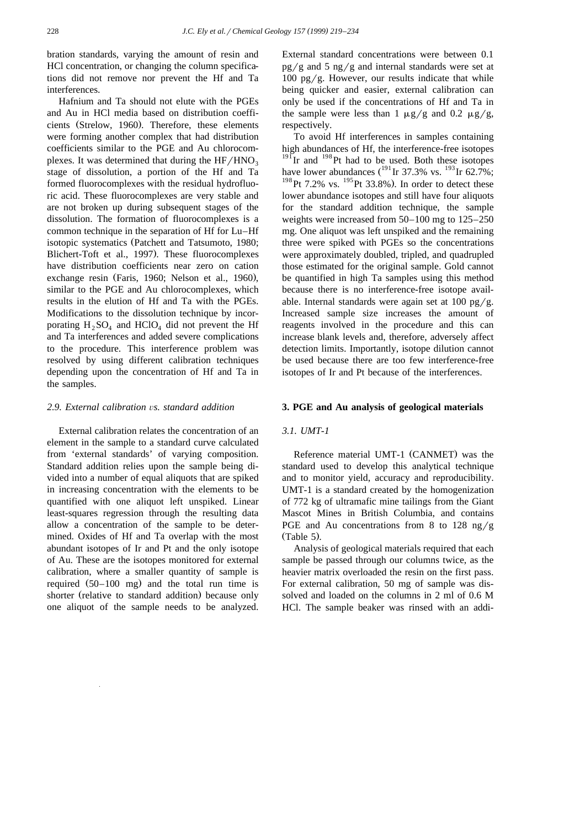bration standards, varying the amount of resin and HCl concentration, or changing the column specifications did not remove nor prevent the Hf and Ta interferences.

Hafnium and Ta should not elute with the PGEs and Au in HCl media based on distribution coefficients (Strelow, 1960). Therefore, these elements were forming another complex that had distribution coefficients similar to the PGE and Au chlorocomplexes. It was determined that during the  $HF/HNO<sub>3</sub>$ stage of dissolution, a portion of the Hf and Ta formed fluorocomplexes with the residual hydrofluoric acid. These fluorocomplexes are very stable and are not broken up during subsequent stages of the dissolution. The formation of fluorocomplexes is a common technique in the separation of Hf for Lu–Hf isotopic systematics (Patchett and Tatsumoto, 1980; Blichert-Toft et al., 1997). These fluorocomplexes have distribution coefficients near zero on cation exchange resin (Faris, 1960; Nelson et al., 1960), similar to the PGE and Au chlorocomplexes, which results in the elution of Hf and Ta with the PGEs. Modifications to the dissolution technique by incorporating  $H_2SO_4$  and  $HClO_4$  did not prevent the Hf and Ta interferences and added severe complications to the procedure. This interference problem was resolved by using different calibration techniques depending upon the concentration of Hf and Ta in the samples.

# *2.9. External calibration* Õ*s. standard addition*

External calibration relates the concentration of an element in the sample to a standard curve calculated from 'external standards' of varying composition. Standard addition relies upon the sample being divided into a number of equal aliquots that are spiked in increasing concentration with the elements to be quantified with one aliquot left unspiked. Linear least-squares regression through the resulting data allow a concentration of the sample to be determined. Oxides of Hf and Ta overlap with the most abundant isotopes of Ir and Pt and the only isotope of Au. These are the isotopes monitored for external calibration, where a smaller quantity of sample is required  $(50-100 \text{ mg})$  and the total run time is shorter (relative to standard addition) because only one aliquot of the sample needs to be analyzed.

External standard concentrations were between 0.1  $pg/g$  and 5 ng/g and internal standards were set at 100 pg/g. However, our results indicate that while being quicker and easier, external calibration can only be used if the concentrations of Hf and Ta in the sample were less than 1  $\mu$ g/g and 0.2  $\mu$ g/g, respectively.

To avoid Hf interferences in samples containing high abundances of Hf, the interference-free isotopes  $^{191}$ Ir and  $^{198}$ Pt had to be used. Both these isotopes have lower abundances  $(^{191}$  Ir 37.3% vs.  $^{193}$  Ir 62.7%;  $198$  Pt 7.2% vs.  $195$  Pt 33.8%). In order to detect these lower abundance isotopes and still have four aliquots for the standard addition technique, the sample weights were increased from 50–100 mg to 125–250 mg. One aliquot was left unspiked and the remaining three were spiked with PGEs so the concentrations were approximately doubled, tripled, and quadrupled those estimated for the original sample. Gold cannot be quantified in high Ta samples using this method because there is no interference-free isotope available. Internal standards were again set at  $100 \text{ pg/g}$ . Increased sample size increases the amount of reagents involved in the procedure and this can increase blank levels and, therefore, adversely affect detection limits. Importantly, isotope dilution cannot be used because there are too few interference-free isotopes of Ir and Pt because of the interferences.

#### **3. PGE and Au analysis of geological materials**

#### *3.1. UMT-1*

Reference material UMT-1 (CANMET) was the standard used to develop this analytical technique and to monitor yield, accuracy and reproducibility. UMT-1 is a standard created by the homogenization of 772 kg of ultramafic mine tailings from the Giant Mascot Mines in British Columbia, and contains PGE and Au concentrations from 8 to 128 ng/g  $(Table 5)$ .

Analysis of geological materials required that each sample be passed through our columns twice, as the heavier matrix overloaded the resin on the first pass. For external calibration, 50 mg of sample was dissolved and loaded on the columns in 2 ml of 0.6 M HCl. The sample beaker was rinsed with an addi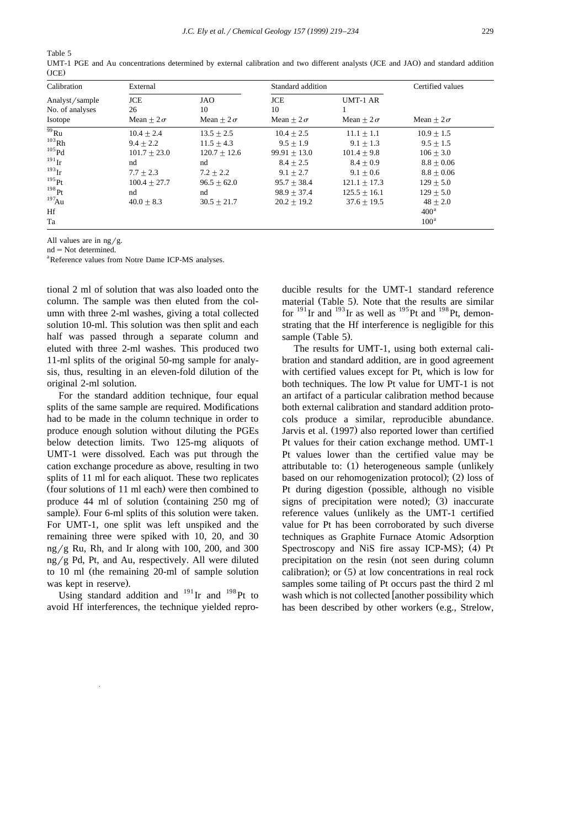Table 5

| Calibration           | External         |                  | Standard addition | Certified values |                  |
|-----------------------|------------------|------------------|-------------------|------------------|------------------|
| Analyst/sample        | <b>JCE</b>       | JAO              | <b>JCE</b>        | UMT-1 AR         |                  |
| No. of analyses       | 26               | 10               | 10                |                  |                  |
| Isotope               | Mean + $2\sigma$ | Mean + $2\sigma$ | Mean + $2\sigma$  | Mean + $2\sigma$ | Mean + $2\sigma$ |
| $\overline{^{99}R}$ u | $10.4 + 2.4$     | $13.5 + 2.5$     | $10.4 + 2.5$      | $11.1 + 1.1$     | $10.9 + 1.5$     |
| $^{103}\mbox{Rh}$     | $9.4 + 2.2$      | $11.5 + 4.3$     | $9.5 + 1.9$       | $9.1 + 1.3$      | $9.5 + 1.5$      |
| $105$ Pd              | $101.7 + 23.0$   | $120.7 + 12.6$   | $99.91 + 13.0$    | $101.4 + 9.8$    | $106 + 3.0$      |
| $191$ Ir              | nd               | nd               | $8.4 + 2.5$       | $8.4 + 0.9$      | $8.8 + 0.06$     |
| $^{193}$ Ir           | $7.7 + 2.3$      | $7.2 + 2.2$      | $9.1 + 2.7$       | $9.1 + 0.6$      | $8.8 + 0.06$     |
| $^{195}$ Pt           | $100.4 + 27.7$   | $96.5 + 62.0$    | $95.7 + 38.4$     | $121.1 + 17.3$   | $129 + 5.0$      |
| 198Pt                 | nd               | nd               | $98.9 + 37.4$     | $125.5 + 16.1$   | $129 + 5.0$      |
| $^{197}$ Au           | $40.0 + 8.3$     | $30.5 + 21.7$    | $20.2 + 19.2$     | $37.6 + 19.5$    | $48 + 2.0$       |
| Hf                    |                  |                  |                   |                  | 400 <sup>a</sup> |
| Ta                    |                  |                  |                   |                  | 100 <sup>a</sup> |

UMT-1 PGE and Au concentrations determined by external calibration and two different analysts (JCE and JAO) and standard addition  $(JCE)$ 

All values are in  $\frac{ng}{g}$ .

 $nd = Not determined.$ 

<sup>a</sup>Reference values from Notre Dame ICP-MS analyses.

tional 2 ml of solution that was also loaded onto the column. The sample was then eluted from the column with three 2-ml washes, giving a total collected solution 10-ml. This solution was then split and each half was passed through a separate column and eluted with three 2-ml washes. This produced two 11-ml splits of the original 50-mg sample for analysis, thus, resulting in an eleven-fold dilution of the original 2-ml solution.

For the standard addition technique, four equal splits of the same sample are required. Modifications had to be made in the column technique in order to produce enough solution without diluting the PGEs below detection limits. Two 125-mg aliquots of UMT-1 were dissolved. Each was put through the cation exchange procedure as above, resulting in two splits of 11 ml for each aliquot. These two replicates (four solutions of 11 ml each) were then combined to produce 44 ml of solution (containing  $250$  mg of sample). Four 6-ml splits of this solution were taken. For UMT-1, one split was left unspiked and the remaining three were spiked with 10, 20, and 30 ng/g Ru, Rh, and Ir along with 100, 200, and 300  $ng/g$  Pd, Pt, and Au, respectively. All were diluted to 10 ml (the remaining  $20$ -ml of sample solution was kept in reserve).

Using standard addition and  $191$  Ir and  $198$  Pt to avoid Hf interferences, the technique yielded repro-

ducible results for the UMT-1 standard reference material (Table 5). Note that the results are similar for  $^{191}$ Ir and  $^{193}$ Ir as well as  $^{195}$ Pt and  $^{198}$ Pt, demonstrating that the Hf interference is negligible for this sample (Table 5).

The results for UMT-1, using both external calibration and standard addition, are in good agreement with certified values except for Pt, which is low for both techniques. The low Pt value for UMT-1 is not an artifact of a particular calibration method because both external calibration and standard addition protocols produce a similar, reproducible abundance. Jarvis et al. (1997) also reported lower than certified Pt values for their cation exchange method. UMT-1 Pt values lower than the certified value may be attributable to: (1) heterogeneous sample (unlikely based on our rehomogenization protocol);  $(2)$  loss of Pt during digestion (possible, although no visible signs of precipitation were noted);  $(3)$  inaccurate reference values (unlikely as the UMT-1 certified value for Pt has been corroborated by such diverse techniques as Graphite Furnace Atomic Adsorption Spectroscopy and NiS fire assay ICP-MS); (4) Pt. precipitation on the resin (not seen during column calibration); or  $(5)$  at low concentrations in real rock samples some tailing of Pt occurs past the third 2 ml wash which is not collected [another possibility which has been described by other workers (e.g., Strelow,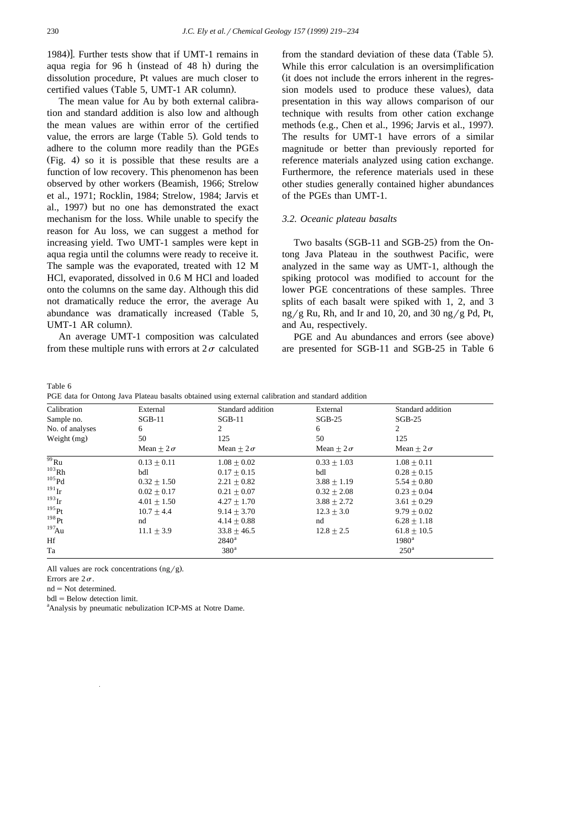1984). Further tests show that if UMT-1 remains in aqua regia for 96 h (instead of 48 h) during the dissolution procedure, Pt values are much closer to certified values (Table 5, UMT-1 AR column).

The mean value for Au by both external calibration and standard addition is also low and although the mean values are within error of the certified value, the errors are large (Table 5). Gold tends to adhere to the column more readily than the PGEs  $(Fig. 4)$  so it is possible that these results are a function of low recovery. This phenomenon has been observed by other workers (Beamish, 1966; Strelow et al., 1971; Rocklin, 1984; Strelow, 1984; Jarvis et al., 1997) but no one has demonstrated the exact mechanism for the loss. While unable to specify the reason for Au loss, we can suggest a method for increasing yield. Two UMT-1 samples were kept in aqua regia until the columns were ready to receive it. The sample was the evaporated, treated with 12 M HCl, evaporated, dissolved in 0.6 M HCl and loaded onto the columns on the same day. Although this did not dramatically reduce the error, the average Au abundance was dramatically increased (Table 5,  $UMT-1 AR column$ .

An average UMT-1 composition was calculated from these multiple runs with errors at  $2\sigma$  calculated

from the standard deviation of these data (Table 5). While this error calculation is an oversimplification (it does not include the errors inherent in the regression models used to produce these values), data presentation in this way allows comparison of our technique with results from other cation exchange methods (e.g., Chen et al., 1996; Jarvis et al., 1997). The results for UMT-1 have errors of a similar magnitude or better than previously reported for reference materials analyzed using cation exchange. Furthermore, the reference materials used in these other studies generally contained higher abundances of the PGEs than UMT-1.

# *3.2. Oceanic plateau basalts*

Two basalts (SGB-11 and SGB-25) from the Ontong Java Plateau in the southwest Pacific, were analyzed in the same way as UMT-1, although the spiking protocol was modified to account for the lower PGE concentrations of these samples. Three splits of each basalt were spiked with 1, 2, and 3  $ng/g Ru$ , Rh, and Ir and 10, 20, and 30 ng/g Pd, Pt, and Au, respectively.

PGE and Au abundances and errors (see above) are presented for SGB-11 and SGB-25 in Table 6

Table 6

| PGE data for Ontong Java Plateau basalts obtained using external calibration and standard addition |  |  |
|----------------------------------------------------------------------------------------------------|--|--|
|                                                                                                    |  |  |

| Calibration          | External         | Standard addition | External         | Standard addition |
|----------------------|------------------|-------------------|------------------|-------------------|
| Sample no.           | $SGB-11$         | $SGB-11$          | $SGB-25$         | $SGB-25$          |
| No. of analyses      | 6                | 2                 | 6                | 2                 |
| Weight $(mg)$        | 50               | 125               | 50               | 125               |
|                      | Mean + $2\sigma$ | Mean + $2\sigma$  | Mean + $2\sigma$ | Mean + $2\sigma$  |
| $\overline{^{99}$ Ru | $0.13 + 0.11$    | $1.08 + 0.02$     | $0.33 + 1.03$    | $1.08 + 0.11$     |
| $103$ <sub>Rh</sub>  | bdl              | $0.17 + 0.15$     | bdl              | $0.28 + 0.15$     |
| $^{105}\mathrm{Pd}$  | $0.32 + 1.50$    | $2.21 \pm 0.82$   | $3.88 + 1.19$    | $5.54 + 0.80$     |
| $^{191}$ Ir          | $0.02 + 0.17$    | $0.21 + 0.07$     | $0.32 + 2.08$    | $0.23 + 0.04$     |
| $^{193}$ Ir          | $4.01 + 1.50$    | $4.27 + 1.70$     | $3.88 + 2.72$    | $3.61 + 0.29$     |
| $^{195}$ Pt          | $10.7 + 4.4$     | $9.14 + 3.70$     | $12.3 + 3.0$     | $9.79 + 0.02$     |
| 198Pt                | nd               | $4.14 + 0.88$     | nd               | $6.28 + 1.18$     |
| $^{197}$ Au          | $11.1 + 3.9$     | $33.8 + 46.5$     | $12.8 + 2.5$     | $61.8 + 10.5$     |
| Hf                   |                  | $2840^{\rm a}$    |                  | $1980^{\rm a}$    |
| Ta                   |                  | 380 <sup>a</sup>  |                  | 250 <sup>a</sup>  |

All values are rock concentrations  $\frac{ng}{g}$ .

Errors are  $2\sigma$ .

 $nd = Not determined.$ 

 $bdl = Below detection limit.$ 

<sup>a</sup>Analysis by pneumatic nebulization ICP-MS at Notre Dame.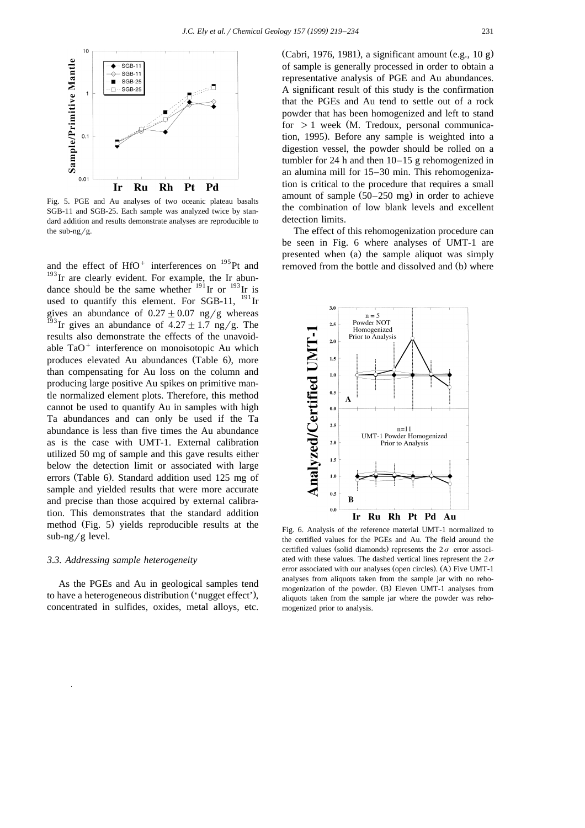

Fig. 5. PGE and Au analyses of two oceanic plateau basalts SGB-11 and SGB-25. Each sample was analyzed twice by standard addition and results demonstrate analyses are reproducible to the sub-ng/g.

and the effect of  $HfO^+$  interferences on  $^{195}Pt$  and  $193$  Ir are clearly evident. For example, the Ir abundance should be the same whether  $191$  Ir or  $193$  Ir is used to quantify this element. For SGB-11,  $^{191}$  Ir gives an abundance of  $0.27 \pm 0.07$  ng/g whereas <sup>193</sup>Ir gives an abundance of  $4.27 \pm 1.7$  ng/g. The results also demonstrate the effects of the unavoidable  $TaO<sup>+</sup>$  interference on monoisotopic Au which produces elevated Au abundances (Table 6), more than compensating for Au loss on the column and producing large positive Au spikes on primitive mantle normalized element plots. Therefore, this method cannot be used to quantify Au in samples with high Ta abundances and can only be used if the Ta abundance is less than five times the Au abundance as is the case with UMT-1. External calibration utilized 50 mg of sample and this gave results either below the detection limit or associated with large errors (Table 6). Standard addition used 125 mg of sample and yielded results that were more accurate and precise than those acquired by external calibration. This demonstrates that the standard addition method (Fig. 5) yields reproducible results at the  $sub-ng/g$  level.

## *3.3. Addressing sample heterogeneity*

As the PGEs and Au in geological samples tend to have a heterogeneous distribution ('nugget effect'), concentrated in sulfides, oxides, metal alloys, etc.

(Cabri, 1976, 1981), a significant amount  $(e.g., 10 g)$ of sample is generally processed in order to obtain a representative analysis of PGE and Au abundances. A significant result of this study is the confirmation that the PGEs and Au tend to settle out of a rock powder that has been homogenized and left to stand for  $>1$  week (M. Tredoux, personal communication, 1995). Before any sample is weighted into a digestion vessel, the powder should be rolled on a tumbler for 24 h and then 10–15 g rehomogenized in an alumina mill for 15–30 min. This rehomogenization is critical to the procedure that requires a small amount of sample  $(50-250 \text{ mg})$  in order to achieve the combination of low blank levels and excellent detection limits.

The effect of this rehomogenization procedure can be seen in Fig. 6 where analyses of UMT-1 are presented when (a) the sample aliquot was simply removed from the bottle and dissolved and (b) where



Fig. 6. Analysis of the reference material UMT-1 normalized to the certified values for the PGEs and Au. The field around the certified values (solid diamonds) represents the  $2\sigma$  error associated with these values. The dashed vertical lines represent the  $2\sigma$ error associated with our analyses (open circles). (A) Five UMT-1 analyses from aliquots taken from the sample jar with no rehomogenization of the powder. (B) Eleven UMT-1 analyses from aliquots taken from the sample jar where the powder was rehomogenized prior to analysis.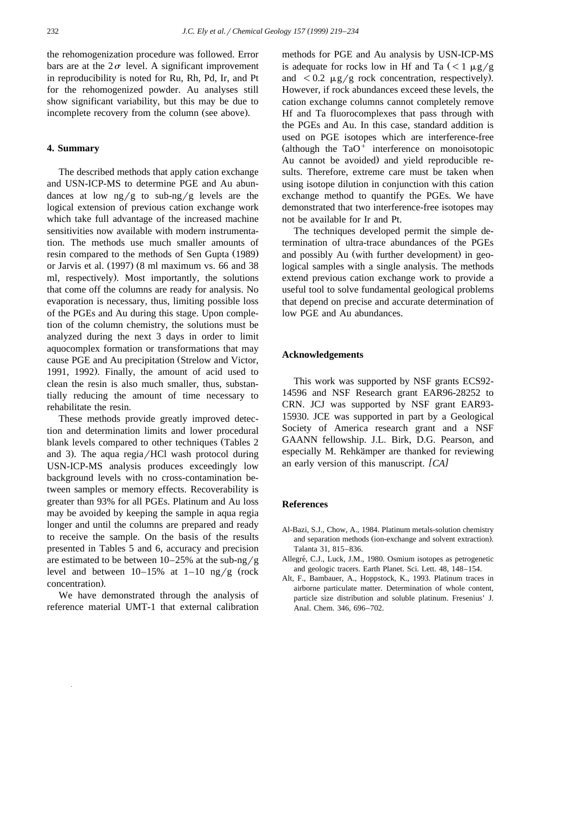the rehomogenization procedure was followed. Error bars are at the  $2\sigma$  level. A significant improvement in reproducibility is noted for Ru, Rh, Pd, Ir, and Pt for the rehomogenized powder. Au analyses still show significant variability, but this may be due to incomplete recovery from the column (see above).

#### **4. Summary**

The described methods that apply cation exchange and USN-ICP-MS to determine PGE and Au abundances at low  $\frac{ng}{g}$  to sub-ng/g levels are the logical extension of previous cation exchange work which take full advantage of the increased machine sensitivities now available with modern instrumentation. The methods use much smaller amounts of resin compared to the methods of Sen Gupta (1989) or Jarvis et al.  $(1997)$   $(8 \text{ ml maximum vs. } 66 \text{ and } 38)$ ml, respectively). Most importantly, the solutions that come off the columns are ready for analysis. No evaporation is necessary, thus, limiting possible loss of the PGEs and Au during this stage. Upon completion of the column chemistry, the solutions must be analyzed during the next 3 days in order to limit aquocomplex formation or transformations that may cause PGE and Au precipitation (Strelow and Victor, 1991, 1992). Finally, the amount of acid used to clean the resin is also much smaller, thus, substantially reducing the amount of time necessary to rehabilitate the resin.

These methods provide greatly improved detection and determination limits and lower procedural blank levels compared to other techniques (Tables 2) and 3). The aqua regia/ $HCl$  wash protocol during USN-ICP-MS analysis produces exceedingly low background levels with no cross-contamination between samples or memory effects. Recoverability is greater than 93% for all PGEs. Platinum and Au loss may be avoided by keeping the sample in aqua regia longer and until the columns are prepared and ready to receive the sample. On the basis of the results presented in Tables 5 and 6, accuracy and precision are estimated to be between  $10-25%$  at the sub-ng/g level and between  $10-15%$  at  $1-10$  ng/g (rock concentration).

We have demonstrated through the analysis of reference material UMT-1 that external calibration

methods for PGE and Au analysis by USN-ICP-MS is adequate for rocks low in Hf and Ta  $(< 1 \mu g/g$ and  $\langle 0.2 \mu g/g \rangle$  rock concentration, respectively). However, if rock abundances exceed these levels, the cation exchange columns cannot completely remove Hf and Ta fluorocomplexes that pass through with the PGEs and Au. In this case, standard addition is used on PGE isotopes which are interference-free (although the  $TaO<sup>+</sup>$  interference on monoisotopic Au cannot be avoided) and yield reproducible results. Therefore, extreme care must be taken when using isotope dilution in conjunction with this cation exchange method to quantify the PGEs. We have demonstrated that two interference-free isotopes may not be available for Ir and Pt.

The techniques developed permit the simple determination of ultra-trace abundances of the PGEs and possibly Au (with further development) in geological samples with a single analysis. The methods extend previous cation exchange work to provide a useful tool to solve fundamental geological problems that depend on precise and accurate determination of low PGE and Au abundances.

#### **Acknowledgements**

This work was supported by NSF grants ECS92- 14596 and NSF Research grant EAR96-28252 to CRN. JCJ was supported by NSF grant EAR93- 15930. JCE was supported in part by a Geological Society of America research grant and a NSF GAANN fellowship. J.L. Birk, D.G. Pearson, and especially M. Rehkämper are thanked for reviewing an early version of this manuscript. *[CA]* 

#### **References**

- Al-Bazi, S.J., Chow, A., 1984. Platinum metals-solution chemistry and separation methods (ion-exchange and solvent extraction). Talanta 31, 815–836.
- Allegré, C.J., Luck, J.M., 1980. Osmium isotopes as petrogenetic and geologic tracers. Earth Planet. Sci. Lett. 48, 148–154.
- Alt, F., Bambauer, A., Hoppstock, K., 1993. Platinum traces in airborne particulate matter. Determination of whole content, particle size distribution and soluble platinum. Fresenius' J. Anal. Chem. 346, 696–702.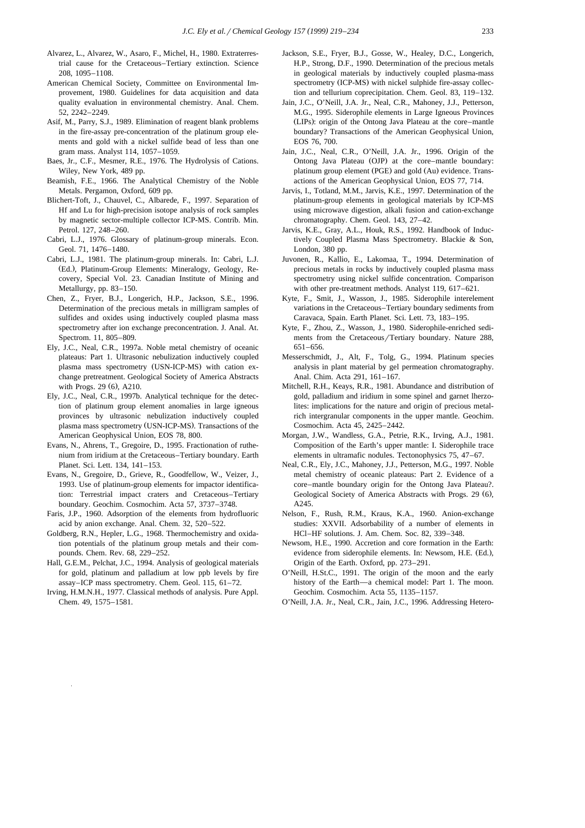- Alvarez, L., Alvarez, W., Asaro, F., Michel, H., 1980. Extraterrestrial cause for the Cretaceous–Tertiary extinction. Science 208, 1095–1108.
- American Chemical Society, Committee on Environmental Improvement, 1980. Guidelines for data acquisition and data quality evaluation in environmental chemistry. Anal. Chem. 52, 2242–2249.
- Asif, M., Parry, S.J., 1989. Elimination of reagent blank problems in the fire-assay pre-concentration of the platinum group elements and gold with a nickel sulfide bead of less than one gram mass. Analyst 114, 1057–1059.
- Baes, Jr., C.F., Mesmer, R.E., 1976. The Hydrolysis of Cations. Wiley, New York, 489 pp.
- Beamish, F.E., 1966. The Analytical Chemistry of the Noble Metals. Pergamon, Oxford, 609 pp.
- Blichert-Toft, J., Chauvel, C., Albarede, F., 1997. Separation of Hf and Lu for high-precision isotope analysis of rock samples by magnetic sector-multiple collector ICP-MS. Contrib. Min. Petrol. 127, 248–260.
- Cabri, L.J., 1976. Glossary of platinum-group minerals. Econ. Geol. 71, 1476–1480.
- Cabri, L.J., 1981. The platinum-group minerals. In: Cabri, L.J. (Ed.), Platinum-Group Elements: Mineralogy, Geology, Recovery, Special Vol. 23. Canadian Institute of Mining and Metallurgy, pp. 83–150.
- Chen, Z., Fryer, B.J., Longerich, H.P., Jackson, S.E., 1996. Determination of the precious metals in milligram samples of sulfides and oxides using inductively coupled plasma mass spectrometry after ion exchange preconcentration. J. Anal. At. Spectrom. 11, 805–809.
- Ely, J.C., Neal, C.R., 1997a. Noble metal chemistry of oceanic plateaus: Part 1. Ultrasonic nebulization inductively coupled plasma mass spectrometry (USN-ICP-MS) with cation exchange pretreatment. Geological Society of America Abstracts with Progs. 29 (6), A210.
- Ely, J.C., Neal, C.R., 1997b. Analytical technique for the detection of platinum group element anomalies in large igneous provinces by ultrasonic nebulization inductively coupled plasma mass spectrometry (USN-ICP-MS). Transactions of the American Geophysical Union, EOS 78, 800.
- Evans, N., Ahrens, T., Gregoire, D., 1995. Fractionation of ruthenium from iridium at the Cretaceous–Tertiary boundary. Earth Planet. Sci. Lett. 134, 141–153.
- Evans, N., Gregoire, D., Grieve, R., Goodfellow, W., Veizer, J., 1993. Use of platinum-group elements for impactor identification: Terrestrial impact craters and Cretaceous–Tertiary boundary. Geochim. Cosmochim. Acta 57, 3737–3748.
- Faris, J.P., 1960. Adsorption of the elements from hydrofluoric acid by anion exchange. Anal. Chem. 32, 520–522.
- Goldberg, R.N., Hepler, L.G., 1968. Thermochemistry and oxidation potentials of the platinum group metals and their compounds. Chem. Rev. 68, 229–252.
- Hall, G.E.M., Pelchat, J.C., 1994. Analysis of geological materials for gold, platinum and palladium at low ppb levels by fire assay–ICP mass spectrometry. Chem. Geol. 115, 61–72.
- Irving, H.M.N.H., 1977. Classical methods of analysis. Pure Appl. Chem. 49, 1575–1581.
- Jackson, S.E., Fryer, B.J., Gosse, W., Healey, D.C., Longerich, H.P., Strong, D.F., 1990. Determination of the precious metals in geological materials by inductively coupled plasma-mass spectrometry (ICP-MS) with nickel sulphide fire-assay collection and tellurium coprecipitation. Chem. Geol. 83, 119–132.
- Jain, J.C., O'Neill, J.A. Jr., Neal, C.R., Mahoney, J.J., Petterson, M.G., 1995. Siderophile elements in Large Igneous Provinces (LIPs): origin of the Ontong Java Plateau at the core–mantle boundary? Transactions of the American Geophysical Union, EOS 76, 700.
- Jain, J.C., Neal, C.R., O'Neill, J.A. Jr., 1996. Origin of the Ontong Java Plateau (OJP) at the core–mantle boundary: platinum group element (PGE) and gold (Au) evidence. Transactions of the American Geophysical Union, EOS 77, 714.
- Jarvis, I., Totland, M.M., Jarvis, K.E., 1997. Determination of the platinum-group elements in geological materials by ICP-MS using microwave digestion, alkali fusion and cation-exchange chromatography. Chem. Geol. 143, 27–42.
- Jarvis, K.E., Gray, A.L., Houk, R.S., 1992. Handbook of Inductively Coupled Plasma Mass Spectrometry. Blackie & Son, London, 380 pp.
- Juvonen, R., Kallio, E., Lakomaa, T., 1994. Determination of precious metals in rocks by inductively coupled plasma mass spectrometry using nickel sulfide concentration. Comparison with other pre-treatment methods. Analyst 119, 617–621.
- Kyte, F., Smit, J., Wasson, J., 1985. Siderophile interelement variations in the Cretaceous–Tertiary boundary sediments from Caravaca, Spain. Earth Planet. Sci. Lett. 73, 183–195.
- Kyte, F., Zhou, Z., Wasson, J., 1980. Siderophile-enriched sediments from the Cretaceous/Tertiary boundary. Nature 288, 651–656.
- Messerschmidt, J., Alt, F., Tolg, G., 1994. Platinum species analysis in plant material by gel permeation chromatography. Anal. Chim. Acta 291, 161–167.
- Mitchell, R.H., Keays, R.R., 1981. Abundance and distribution of gold, palladium and iridium in some spinel and garnet lherzolites: implications for the nature and origin of precious metalrich intergranular components in the upper mantle. Geochim. Cosmochim. Acta 45, 2425–2442.
- Morgan, J.W., Wandless, G.A., Petrie, R.K., Irving, A.J., 1981. Composition of the Earth's upper mantle: I. Siderophile trace elements in ultramafic nodules. Tectonophysics 75, 47–67.
- Neal, C.R., Ely, J.C., Mahoney, J.J., Petterson, M.G., 1997. Noble metal chemistry of oceanic plateaus: Part 2. Evidence of a core–mantle boundary origin for the Ontong Java Plateau?. Geological Society of America Abstracts with Progs. 29 (6), A245.
- Nelson, F., Rush, R.M., Kraus, K.A., 1960. Anion-exchange studies: XXVII. Adsorbability of a number of elements in HCl–HF solutions. J. Am. Chem. Soc. 82, 339–348.
- Newsom, H.E., 1990. Accretion and core formation in the Earth: evidence from siderophile elements. In: Newsom, H.E. (Ed.), Origin of the Earth. Oxford, pp. 273–291.
- O'Neill, H.St.C., 1991. The origin of the moon and the early history of the Earth—a chemical model: Part 1. The moon. Geochim. Cosmochim. Acta 55, 1135–1157.
- O'Neill, J.A. Jr., Neal, C.R., Jain, J.C., 1996. Addressing Hetero-